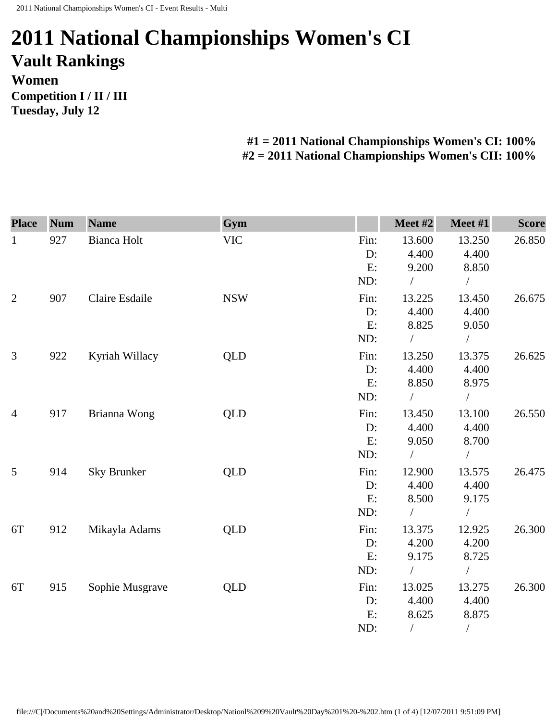## **2011 National Championships Women's CI Vault Rankings Women Competition I / II / III Tuesday, July 12**

## **#1 = 2011 National Championships Women's CI: 100% #2 = 2011 National Championships Women's CII: 100%**

| <b>Place</b>   | <b>Num</b> | <b>Name</b>        | Gym        |      | Meet #2    | Meet #1        | <b>Score</b> |
|----------------|------------|--------------------|------------|------|------------|----------------|--------------|
| $\mathbf{1}$   | 927        | Bianca Holt        | <b>VIC</b> | Fin: | 13.600     | 13.250         | 26.850       |
|                |            |                    |            | D:   | 4.400      | 4.400          |              |
|                |            |                    |            | E:   | 9.200      | 8.850          |              |
|                |            |                    |            | ND:  |            | $\bigg)$       |              |
| $\mathfrak{2}$ | 907        | Claire Esdaile     | <b>NSW</b> | Fin: | 13.225     | 13.450         | 26.675       |
|                |            |                    |            | D:   | 4.400      | 4.400          |              |
|                |            |                    |            | E:   | 8.825      | 9.050          |              |
|                |            |                    |            | ND:  |            | $\sqrt{2}$     |              |
| 3              | 922        | Kyriah Willacy     | QLD        | Fin: | 13.250     | 13.375         | 26.625       |
|                |            |                    |            | D:   | 4.400      | 4.400          |              |
|                |            |                    |            | E:   | 8.850      | 8.975          |              |
|                |            |                    |            | ND:  |            | $\bigg)$       |              |
| $\overline{4}$ | 917        | Brianna Wong       | QLD        | Fin: | 13.450     | 13.100         | 26.550       |
|                |            |                    |            | D:   | 4.400      | 4.400          |              |
|                |            |                    |            | E:   | 9.050      | 8.700          |              |
|                |            |                    |            | ND:  | $\sqrt{2}$ | $\sqrt{ }$     |              |
| 5              | 914        | <b>Sky Brunker</b> | <b>QLD</b> | Fin: | 12.900     | 13.575         | 26.475       |
|                |            |                    |            | D:   | 4.400      | 4.400          |              |
|                |            |                    |            | E:   | 8.500      | 9.175          |              |
|                |            |                    |            | ND:  |            | $\frac{1}{2}$  |              |
| 6T             | 912        | Mikayla Adams      | <b>QLD</b> | Fin: | 13.375     | 12.925         | 26.300       |
|                |            |                    |            | D:   | 4.200      | 4.200          |              |
|                |            |                    |            | E:   | 9.175      | 8.725          |              |
|                |            |                    |            | ND:  | $\sqrt{2}$ | $\frac{1}{2}$  |              |
| 6T             | 915        | Sophie Musgrave    | QLD        | Fin: | 13.025     | 13.275         | 26.300       |
|                |            |                    |            | D:   | 4.400      | 4.400          |              |
|                |            |                    |            | E:   | 8.625      | 8.875          |              |
|                |            |                    |            | ND:  | $\sqrt{2}$ | $\overline{ }$ |              |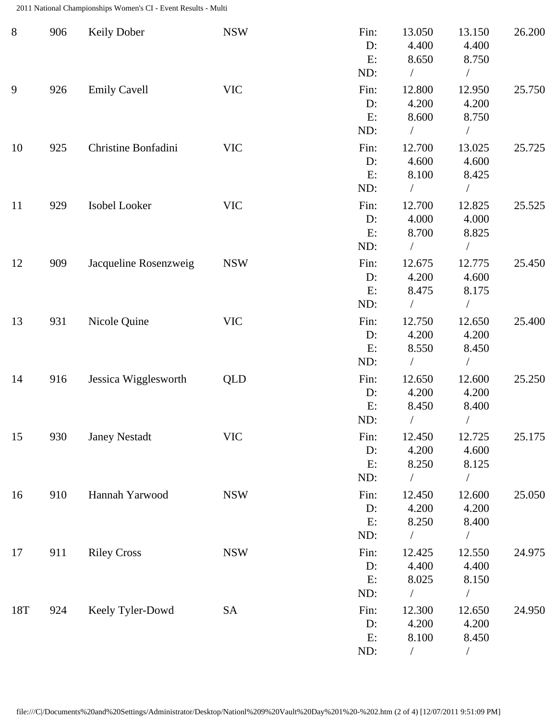2011 National Championships Women's CI - Event Results - Multi

| $8\phantom{1}$ | 906 | <b>Keily Dober</b>    | <b>NSW</b> | Fin:<br>D:<br>E:<br>ND:    | 13.050<br>4.400<br>8.650<br>$\sqrt{2}$ | 13.150<br>4.400<br>8.750<br>$\sqrt{2}$     | 26.200 |
|----------------|-----|-----------------------|------------|----------------------------|----------------------------------------|--------------------------------------------|--------|
| 9              | 926 | <b>Emily Cavell</b>   | <b>VIC</b> | Fin:<br>D:<br>E:<br>ND:    | 12.800<br>4.200<br>8.600               | 12.950<br>4.200<br>8.750<br>$\overline{ }$ | 25.750 |
| 10             | 925 | Christine Bonfadini   | <b>VIC</b> | Fin:<br>D:<br>E:<br>ND:    | 12.700<br>4.600<br>8.100<br>$\sqrt{2}$ | 13.025<br>4.600<br>8.425<br>$\sqrt{2}$     | 25.725 |
| 11             | 929 | Isobel Looker         | <b>VIC</b> | Fin:<br>D:<br>E:<br>ND:    | 12.700<br>4.000<br>8.700               | 12.825<br>4.000<br>8.825                   | 25.525 |
| 12             | 909 | Jacqueline Rosenzweig | <b>NSW</b> | Fin:<br>D:<br>E:<br>ND:    | 12.675<br>4.200<br>8.475<br>$\sqrt{2}$ | 12.775<br>4.600<br>8.175<br>$\sqrt{2}$     | 25.450 |
| 13             | 931 | Nicole Quine          | <b>VIC</b> | Fin:<br>D:<br>E:<br>ND:    | 12.750<br>4.200<br>8.550               | 12.650<br>4.200<br>8.450                   | 25.400 |
| 14             | 916 | Jessica Wigglesworth  | <b>QLD</b> | Fin:<br>D:<br>E:<br>ND:    | 12.650<br>4.200<br>8.450               | 12.600<br>4.200<br>8.400                   | 25.250 |
| 15             | 930 | <b>Janey Nestadt</b>  | <b>VIC</b> | Fin:<br>D:<br>E:<br>ND:    | 12.450<br>4.200<br>8.250<br>$\sqrt{2}$ | 12.725<br>4.600<br>8.125<br>$\sqrt{2}$     | 25.175 |
| 16             | 910 | Hannah Yarwood        | <b>NSW</b> | Fin:<br>$D$ :<br>E:<br>ND: | 12.450<br>4.200<br>8.250               | 12.600<br>4.200<br>8.400                   | 25.050 |
| 17             | 911 | <b>Riley Cross</b>    | <b>NSW</b> | Fin:<br>D:<br>E:<br>ND:    | 12.425<br>4.400<br>8.025<br>$\sqrt{2}$ | 12.550<br>4.400<br>8.150<br>$\sqrt{2}$     | 24.975 |
| 18T            | 924 | Keely Tyler-Dowd      | <b>SA</b>  | Fin:<br>$D$ :<br>E:<br>ND: | 12.300<br>4.200<br>8.100               | 12.650<br>4.200<br>8.450                   | 24.950 |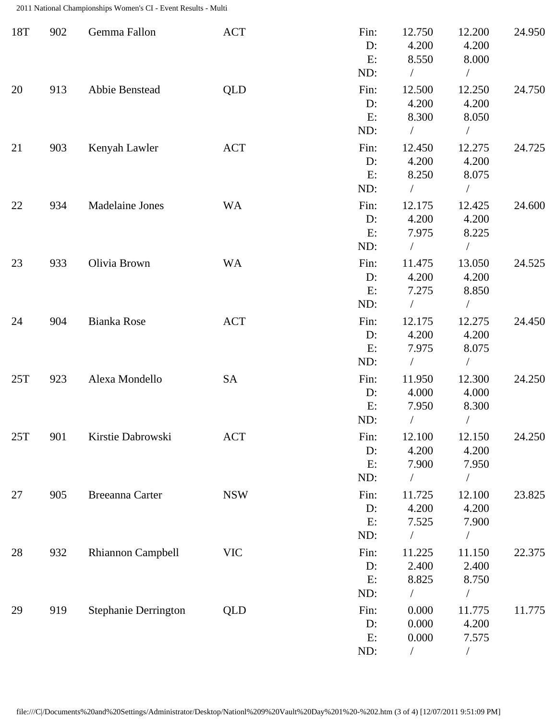2011 National Championships Women's CI - Event Results - Multi

| 18T | 902 | Gemma Fallon                | <b>ACT</b> | Fin:<br>D:<br>E:<br>ND:    | 12.750<br>4.200<br>8.550<br>$\sqrt{2}$    | 12.200<br>4.200<br>8.000<br>$\sqrt{2}$     | 24.950 |
|-----|-----|-----------------------------|------------|----------------------------|-------------------------------------------|--------------------------------------------|--------|
| 20  | 913 | Abbie Benstead              | QLD        | Fin:<br>$D$ :<br>E:<br>ND: | 12.500<br>4.200<br>8.300                  | 12.250<br>4.200<br>8.050                   | 24.750 |
| 21  | 903 | Kenyah Lawler               | <b>ACT</b> | Fin:<br>$D$ :<br>E:<br>ND: | 12.450<br>4.200<br>8.250<br>$\frac{1}{2}$ | 12.275<br>4.200<br>8.075<br>$\overline{1}$ | 24.725 |
| 22  | 934 | <b>Madelaine Jones</b>      | <b>WA</b>  | Fin:<br>D:<br>E:<br>ND:    | 12.175<br>4.200<br>7.975<br>$\sqrt{2}$    | 12.425<br>4.200<br>8.225<br>$\sqrt{2}$     | 24.600 |
| 23  | 933 | Olivia Brown                | <b>WA</b>  | Fin:<br>$D$ :<br>E:<br>ND: | 11.475<br>4.200<br>7.275<br>$\sqrt{2}$    | 13.050<br>4.200<br>8.850<br>$\sqrt{2}$     | 24.525 |
| 24  | 904 | <b>Bianka Rose</b>          | <b>ACT</b> | Fin:<br>D:<br>E:<br>ND:    | 12.175<br>4.200<br>7.975<br>$\sqrt{2}$    | 12.275<br>4.200<br>8.075<br>$\sqrt{2}$     | 24.450 |
| 25T | 923 | Alexa Mondello              | SA         | Fin:<br>$D$ :<br>E:<br>ND: | 11.950<br>4.000<br>7.950<br>T             | 12.300<br>4.000<br>8.300                   | 24.250 |
| 25T | 901 | Kirstie Dabrowski           | <b>ACT</b> | Fin:<br>D:<br>E:<br>ND:    | 12.100<br>4.200<br>7.900<br>$\frac{1}{2}$ | 12.150<br>4.200<br>7.950<br>$\sqrt{2}$     | 24.250 |
| 27  | 905 | <b>Breeanna Carter</b>      | <b>NSW</b> | Fin:<br>$D$ :<br>E:<br>ND: | 11.725<br>4.200<br>7.525<br>$\frac{1}{2}$ | 12.100<br>4.200<br>7.900<br>$\sqrt{2}$     | 23.825 |
| 28  | 932 | Rhiannon Campbell           | <b>VIC</b> | Fin:<br>D:<br>E:<br>ND:    | 11.225<br>2.400<br>8.825<br>$\frac{1}{2}$ | 11.150<br>2.400<br>8.750<br>$\overline{1}$ | 22.375 |
| 29  | 919 | <b>Stephanie Derrington</b> | <b>QLD</b> | Fin:<br>D:<br>E:<br>ND:    | 0.000<br>0.000<br>0.000<br>$\sqrt{2}$     | 11.775<br>4.200<br>7.575<br>$\sqrt{2}$     | 11.775 |